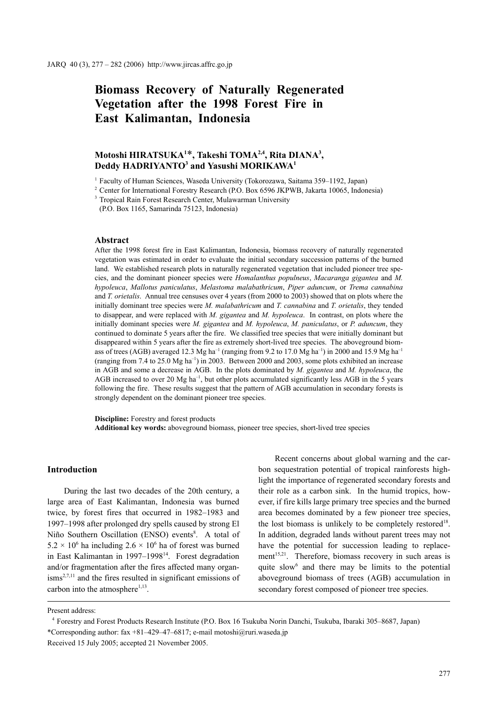# **Biomass Recovery of Naturally Regenerated Vegetation after the 1998 Forest Fire in East Kalimantan, Indonesia**

# **Motoshi HIRATSUKA1** \***, Takeshi TOMA2,4, Rita DIANA3 ,**   $\bf{Deddy HADRIVANTO^3}$  and Yasushi  $\bf{MORIKAWA^1}$

<sup>1</sup> Faculty of Human Sciences, Waseda University (Tokorozawa, Saitama 359–1192, Japan)

<sup>2</sup> Center for International Forestry Research (P.O. Box 6596 JKPWB, Jakarta 10065, Indonesia)

<sup>3</sup> Tropical Rain Forest Research Center, Mulawarman University

(P.O. Box 1165, Samarinda 75123, Indonesia)

#### **Abstract**

After the 1998 forest fire in East Kalimantan, Indonesia, biomass recovery of naturally regenerated vegetation was estimated in order to evaluate the initial secondary succession patterns of the burned land. We established research plots in naturally regenerated vegetation that included pioneer tree species, and the dominant pioneer species were *Homalanthus populneus*, *Macaranga gigantea* and *M. hypoleuca*, *Mallotus paniculatus*, *Melastoma malabathricum*, *Piper aduncum*, or *Trema cannabina* and *T. orietalis*. Annual tree censuses over 4 years (from 2000 to 2003) showed that on plots where the initially dominant tree species were *M. malabathricum* and *T. cannabina* and *T. orietalis*, they tended to disappear, and were replaced with *M. gigantea* and *M. hypoleuca*. In contrast, on plots where the initially dominant species were *M. gigantea* and *M. hypoleuca*, *M. paniculatus*, or *P. aduncum*, they continued to dominate 5 years after the fire. We classified tree species that were initially dominant but disappeared within 5 years after the fire as extremely short-lived tree species. The aboveground biomass of trees (AGB) averaged 12.3 Mg ha<sup>-1</sup> (ranging from 9.2 to 17.0 Mg ha<sup>-1</sup>) in 2000 and 15.9 Mg ha<sup>-1</sup> (ranging from 7.4 to 25.0 Mg  $ha^{-1}$ ) in 2003. Between 2000 and 2003, some plots exhibited an increase in AGB and some a decrease in AGB. In the plots dominated by *M. gigantea* and *M. hypoleuca*, the AGB increased to over 20 Mg ha<sup>-1</sup>, but other plots accumulated significantly less AGB in the 5 years following the fire. These results suggest that the pattern of AGB accumulation in secondary forests is strongly dependent on the dominant pioneer tree species.

**Discipline:** Forestry and forest products **Additional key words:** aboveground biomass, pioneer tree species, short-lived tree species

#### **Introduction**

During the last two decades of the 20th century, a large area of East Kalimantan, Indonesia was burned twice, by forest fires that occurred in 1982–1983 and 1997–1998 after prolonged dry spells caused by strong El Niño Southern Oscillation (ENSO) events<sup>8</sup>. A total of  $5.2 \times 10^6$  ha including  $2.6 \times 10^6$  ha of forest was burned in East Kalimantan in 1997–1998<sup>14</sup>. Forest degradation and/or fragmentation after the fires affected many organ- $\text{isms}^{2,7,11}$  and the fires resulted in significant emissions of carbon into the atmosphere $1,13$ .

Recent concerns about global warning and the carbon sequestration potential of tropical rainforests highlight the importance of regenerated secondary forests and their role as a carbon sink. In the humid tropics, however, if fire kills large primary tree species and the burned area becomes dominated by a few pioneer tree species, the lost biomass is unlikely to be completely restored<sup>18</sup>. In addition, degraded lands without parent trees may not have the potential for succession leading to replacement<sup>15,21</sup>. Therefore, biomass recovery in such areas is quite slow<sup>6</sup> and there may be limits to the potential aboveground biomass of trees (AGB) accumulation in secondary forest composed of pioneer tree species.

Present address:

<sup>4</sup> Forestry and Forest Products Research Institute (P.O. Box 16 Tsukuba Norin Danchi, Tsukuba, Ibaraki 305–8687, Japan) \*Corresponding author: fax +81–429–47–6817; e-mail motoshi@ruri.waseda.jp

Received 15 July 2005; accepted 21 November 2005.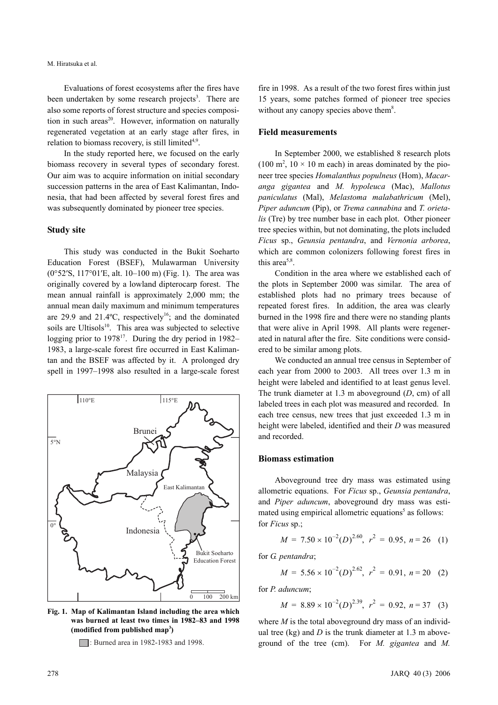Evaluations of forest ecosystems after the fires have been undertaken by some research projects<sup>3</sup>. There are also some reports of forest structure and species composition in such areas<sup>20</sup>. However, information on naturally regenerated vegetation at an early stage after fires, in relation to biomass recovery, is still limited<sup> $4,9$ </sup>.

In the study reported here, we focused on the early biomass recovery in several types of secondary forest. Our aim was to acquire information on initial secondary succession patterns in the area of East Kalimantan, Indonesia, that had been affected by several forest fires and was subsequently dominated by pioneer tree species.

#### **Study site**

This study was conducted in the Bukit Soeharto Education Forest (BSEF), Mulawarman University (0°52*'*S, 117°01*'*E, alt. 10–100 m) (Fig. 1). The area was originally covered by a lowland dipterocarp forest. The mean annual rainfall is approximately 2,000 mm; the annual mean daily maximum and minimum temperatures are 29.9 and 21.4 $^{\circ}$ C, respectively<sup>16</sup>; and the dominated soils are Ultisols<sup>10</sup>. This area was subjected to selective logging prior to  $1978^{17}$ . During the dry period in 1982– 1983, a large-scale forest fire occurred in East Kalimantan and the BSEF was affected by it. A prolonged dry spell in 1997–1998 also resulted in a large-scale forest



**Fig. 1. Map of Kalimantan Island including the area which was burned at least two times in 1982–83 and 1998 (modified from published map3 )**

: Burned area in 1982-1983 and 1998.

fire in 1998. As a result of the two forest fires within just 15 years, some patches formed of pioneer tree species without any canopy species above them<sup>8</sup>.

# **Field measurements**

In September 2000, we established 8 research plots  $(100 \text{ m}^2, 10 \times 10 \text{ m} \text{ each})$  in areas dominated by the pioneer tree species *Homalanthus populneus* (Hom), *Macaranga gigantea* and *M. hypoleuca* (Mac), *Mallotus paniculatus* (Mal), *Melastoma malabathricum* (Mel), *Piper aduncum* (Pip), or *Trema cannabina* and *T. orietalis* (Tre) by tree number base in each plot. Other pioneer tree species within, but not dominating, the plots included *Ficus* sp., *Geunsia pentandra*, and *Vernonia arborea*, which are common colonizers following forest fires in this area $5,8$ .

Condition in the area where we established each of the plots in September 2000 was similar. The area of established plots had no primary trees because of repeated forest fires. In addition, the area was clearly burned in the 1998 fire and there were no standing plants that were alive in April 1998. All plants were regenerated in natural after the fire. Site conditions were considered to be similar among plots.

We conducted an annual tree census in September of each year from 2000 to 2003. All trees over 1.3 m in height were labeled and identified to at least genus level. The trunk diameter at 1.3 m aboveground (*D*, cm) of all labeled trees in each plot was measured and recorded. In each tree census, new trees that just exceeded 1.3 m in height were labeled, identified and their *D* was measured and recorded.

### **Biomass estimation**

Aboveground tree dry mass was estimated using allometric equations. For *Ficus* sp., *Geunsia pentandra*, and *Piper aduncum*, aboveground dry mass was estimated using empirical allometric equations<sup>5</sup> as follows: for *Ficus* sp.;

$$
M = 7.50 \times 10^{-2} (D)^{2.60}, r^2 = 0.95, n = 26 \quad (1)
$$

for *G. pentandra*;

$$
M = 5.56 \times 10^{-2} (D)^{2.62}, r^2 = 0.91, n = 20 \quad (2)
$$

for *P. aduncum*;

$$
M = 8.89 \times 10^{-2} (D)^{2.39}, r^2 = 0.92, n = 37 \quad (3)
$$

where *M* is the total aboveground dry mass of an individual tree (kg) and  $D$  is the trunk diameter at 1.3 m aboveground of the tree (cm). For *M. gigantea* and *M.*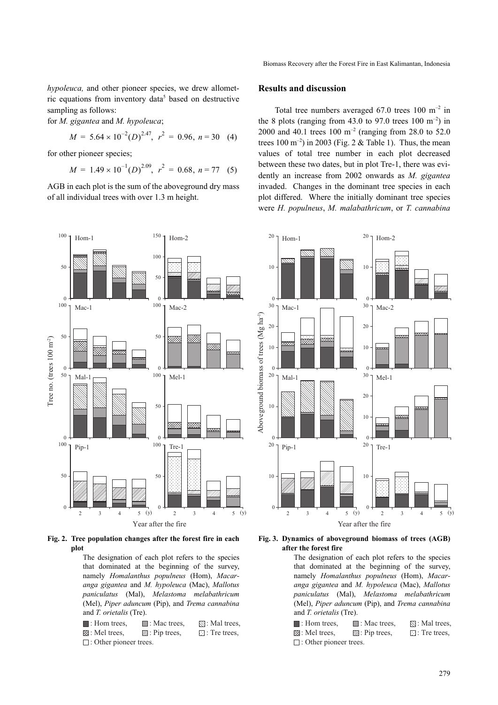*hypoleuca*, and other pioneer species, we drew allometric equations from inventory data<sup>5</sup> based on destructive sampling as follows:

for *M. gigantea* and *M. hypoleuca*;

$$
M = 5.64 \times 10^{-2} (D)^{2.47}, r^2 = 0.96, n = 30 \quad (4)
$$

for other pioneer species;

$$
M = 1.49 \times 10^{-1} (D)^{2.09}, r^2 = 0.68, n = 77 \quad (5)
$$

AGB in each plot is the sum of the aboveground dry mass of all individual trees with over 1.3 m height.



**Fig. 2. Tree population changes after the forest fire in each plot**

The designation of each plot refers to the species that dominated at the beginning of the survey, namely *Homalanthus populneus* (Hom), *Macaranga gigantea* and *M. hypoleuca* (Mac), *Mallotus paniculatus* (Mal), *Melastoma melabathricum* (Mel), *Piper aduncum* (Pip), and *Trema cannabina* and *T. orietalis* (Tre).

| $\blacksquare$ : Hom trees,   | $\Box$ : Mac trees,       | $\mathbb{N}$ : Mal trees, |  |  |  |
|-------------------------------|---------------------------|---------------------------|--|--|--|
| ⊠: Mel trees,                 | $\mathbb{Z}$ : Pip trees, | $\Box$ : Tre trees.       |  |  |  |
| $\Box$ : Other pioneer trees. |                           |                           |  |  |  |

#### **Results and discussion**

Total tree numbers averaged  $67.0$  trees  $100 \text{ m}^{-2}$  in the 8 plots (ranging from 43.0 to 97.0 trees  $100 \text{ m}^{-2}$ ) in 2000 and 40.1 trees  $100 \text{ m}^{-2}$  (ranging from 28.0 to 52.0) trees  $100 \text{ m}^{-2}$ ) in 2003 (Fig. 2 & Table 1). Thus, the mean values of total tree number in each plot decreased between these two dates, but in plot Tre-1, there was evidently an increase from 2002 onwards as *M. gigantea* invaded. Changes in the dominant tree species in each plot differed. Where the initially dominant tree species were *H. populneus*, *M. malabathricum*, or *T. cannabina*



#### **Fig. 3. Dynamics of aboveground biomass of trees (AGB) after the forest fire**

The designation of each plot refers to the species that dominated at the beginning of the survey, namely *Homalanthus populneus* (Hom), *Macaranga gigantea* and *M. hypoleuca* (Mac), *Mallotus paniculatus* (Mal), *Melastoma melabathricum* (Mel), *Piper aduncum* (Pip), and *Trema cannabina* and *T. orietalis* (Tre).

| $\blacksquare$ : Hom trees,   | $\Box$ : Mac trees,       | $\mathbb{N}$ : Mal trees, |  |  |  |
|-------------------------------|---------------------------|---------------------------|--|--|--|
| ⊠: Mel trees,                 | $\mathbb{Z}$ : Pip trees, | $\Box$ : Tre trees,       |  |  |  |
| $\Box$ : Other pioneer trees. |                           |                           |  |  |  |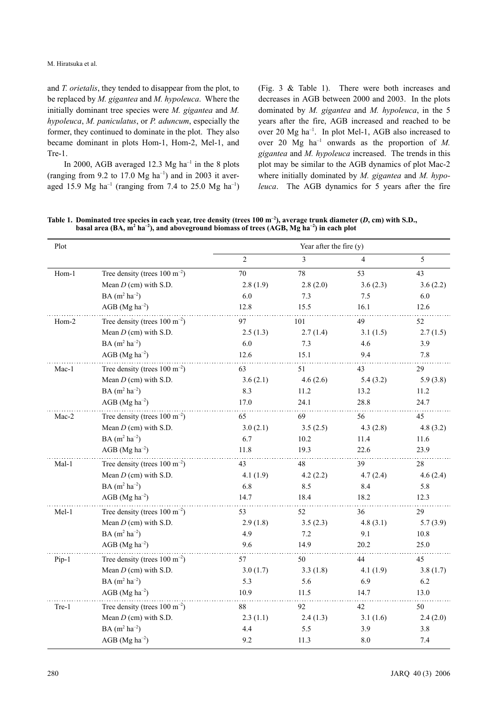M. Hiratsuka et al.

and *T. orietalis*, they tended to disappear from the plot, to be replaced by *M. gigantea* and *M. hypoleuca*. Where the initially dominant tree species were *M. gigantea* and *M. hypoleuca*, *M. paniculatus*, or *P. aduncum*, especially the former, they continued to dominate in the plot. They also became dominant in plots Hom-1, Hom-2, Mel-1, and Tre-1.

In 2000, AGB averaged 12.3 Mg  $ha^{-1}$  in the 8 plots (ranging from 9.2 to 17.0  $Mg$  ha<sup>-1</sup>) and in 2003 it averaged 15.9 Mg ha<sup>-1</sup> (ranging from 7.4 to 25.0 Mg ha<sup>-1</sup>) (Fig. 3 & Table 1). There were both increases and decreases in AGB between 2000 and 2003. In the plots dominated by *M. gigantea* and *M. hypoleuca*, in the 5 years after the fire, AGB increased and reached to be over 20 Mg ha–1. In plot Mel-1, AGB also increased to over 20 Mg  $ha^{-1}$  onwards as the proportion of *M*. *gigantea* and *M. hypoleuca* increased. The trends in this plot may be similar to the AGB dynamics of plot Mac-2 where initially dominated by *M. gigantea* and *M. hypoleuca*. The AGB dynamics for 5 years after the fire

Table 1. Dominated tree species in each year, tree density (trees  $100 \text{ m}^{-2}$ ), average trunk diameter (*D*, cm) with S.D., basal area (BA, m<sup>2</sup> ha<sup>-2</sup>), and aboveground biomass of trees (AGB, Mg ha<sup>-2</sup>) in each plot

| Plot  |                                            | Year after the fire $(y)$ |          |          |          |
|-------|--------------------------------------------|---------------------------|----------|----------|----------|
|       |                                            | $\overline{c}$            | 3        | 4        | 5        |
| Hom-1 | Tree density (trees $100 \text{ m}^{-2}$ ) | 70                        | 78       | 53       | 43       |
|       | Mean $D$ (cm) with S.D.                    | 2.8(1.9)                  | 2.8(2.0) | 3.6(2.3) | 3.6(2.2) |
|       | $BA(m^2 ha^{-2})$                          | 6.0                       | 7.3      | 7.5      | 6.0      |
|       | $AGB$ (Mg ha <sup>-2</sup> )               | 12.8                      | 15.5     | 16.1     | 12.6     |
| Hom-2 | Tree density (trees $100 \text{ m}^{-2}$ ) | 97                        | 101      | 49       | 52       |
|       | Mean $D$ (cm) with S.D.                    | 2.5(1.3)                  | 2.7(1.4) | 3.1(1.5) | 2.7(1.5) |
|       | $BA(m^2 ha^{-2})$                          | 6.0                       | 7.3      | 4.6      | 3.9      |
|       | $AGB$ (Mg ha <sup>-2</sup> )               | 12.6                      | 15.1     | 9.4      | 7.8      |
| Mac-1 | Tree density (trees $100 \text{ m}^{-2}$ ) | 63                        | 51       | 43       | 29       |
|       | Mean $D$ (cm) with S.D.                    | 3.6(2.1)                  | 4.6(2.6) | 5.4(3.2) | 5.9(3.8) |
|       | $BA(m^2 ha^{-2})$                          | 8.3                       | 11.2     | 13.2     | 11.2     |
|       | $AGB$ (Mg ha <sup>-2</sup> )               | 17.0                      | 24.1     | 28.8     | 24.7     |
| Mac-2 | Tree density (trees $100 \text{ m}^{-2}$ ) | 65                        | 69       | 56       | 45       |
|       | Mean $D$ (cm) with S.D.                    | 3.0(2.1)                  | 3.5(2.5) | 4.3(2.8) | 4.8(3.2) |
|       | $BA(m^2 ha^{-2})$                          | 6.7                       | 10.2     | 11.4     | 11.6     |
|       | $AGB$ (Mg ha <sup>-2</sup> )               | 11.8                      | 19.3     | 22.6     | 23.9     |
| Mal-1 | Tree density (trees $100 \text{ m}^{-2}$ ) | 43                        | 48       | 39       | 28       |
|       | Mean $D$ (cm) with S.D.                    | 4.1(1.9)                  | 4.2(2.2) | 4.7(2.4) | 4.6(2.4) |
|       | $BA(m^2 ha^{-2})$                          | 6.8                       | 8.5      | 8.4      | 5.8      |
|       | $AGB$ (Mg ha <sup>-2</sup> )               | 14.7                      | 18.4     | 18.2     | 12.3     |
| Mel-1 | Tree density (trees $100 \text{ m}^{-2}$ ) | 53                        | 52       | 36       | 29       |
|       | Mean $D$ (cm) with S.D.                    | 2.9(1.8)                  | 3.5(2.3) | 4.8(3.1) | 5.7(3.9) |
|       | $BA(m^2 ha^{-2})$                          | 4.9                       | 7.2      | 9.1      | 10.8     |
|       | $AGB$ (Mg ha <sup>-2</sup> )               | 9.6                       | 14.9     | 20.2     | 25.0     |
| Pip-1 | Tree density (trees $100 \text{ m}^{-2}$ ) | 57                        | 50       | 44       | 45       |
|       | Mean $D$ (cm) with S.D.                    | 3.0(1.7)                  | 3.3(1.8) | 4.1(1.9) | 3.8(1.7) |
|       | $BA(m^2 ha^{-2})$                          | 5.3                       | 5.6      | 6.9      | 6.2      |
|       | $AGB$ (Mg ha <sup>-2</sup> )               | 10.9                      | 11.5     | 14.7     | 13.0     |
| Tre-1 | Tree density (trees $100 \text{ m}^{-2}$ ) | 88                        | 92       | 42       | 50       |
|       | Mean $D$ (cm) with S.D.                    | 2.3(1.1)                  | 2.4(1.3) | 3.1(1.6) | 2.4(2.0) |
|       | $BA(m^2 ha^{-2})$                          | 4.4                       | 5.5      | 3.9      | 3.8      |
|       | $AGB$ (Mg ha <sup>-2</sup> )               | 9.2                       | 11.3     | 8.0      | 7.4      |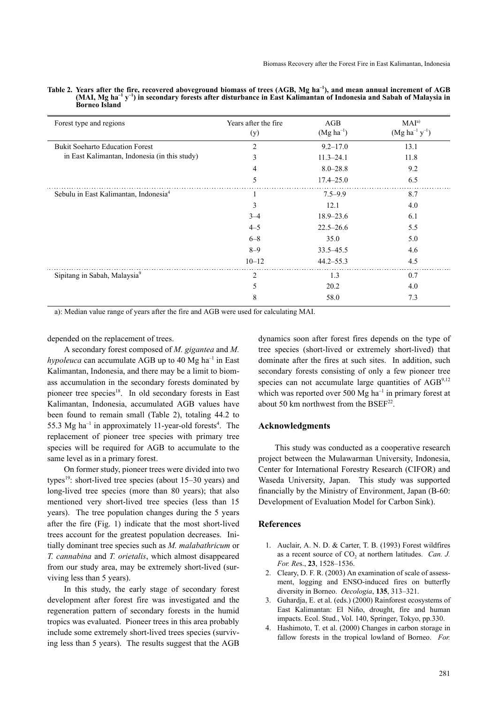| Forest type and regions                           | Years after the fire<br>(y) | AGB<br>$(Mg ha^{-1})$ | MAI <sup>a</sup><br>$(Mg ha^{-1} y^{-1})$ |
|---------------------------------------------------|-----------------------------|-----------------------|-------------------------------------------|
| <b>Bukit Soeharto Education Forest</b>            | $\overline{2}$              | $9.2 - 17.0$          | 13.1                                      |
| in East Kalimantan, Indonesia (in this study)     | 3                           | $11.3 - 24.1$         | 11.8                                      |
|                                                   | 4                           | $8.0 - 28.8$          | 9.2                                       |
|                                                   | 5                           | $17.4 - 25.0$         | 6.5                                       |
| Sebulu in East Kalimantan, Indonesia <sup>4</sup> | 1                           | $7.5 - 9.9$           | 8.7                                       |
|                                                   | 3                           | 12.1                  | 4.0                                       |
|                                                   | $3 - 4$                     | $18.9 - 23.6$         | 6.1                                       |
|                                                   | $4 - 5$                     | $22.5 - 26.6$         | 5.5                                       |
|                                                   | $6 - 8$                     | 35.0                  | 5.0                                       |
|                                                   | $8 - 9$                     | $33.5 - 45.5$         | 4.6                                       |
|                                                   | $10 - 12$                   | $44.2 - 55.3$         | 4.5                                       |
| Sipitang in Sabah, Malaysia9                      | 2                           | 1.3                   | 0.7                                       |
|                                                   | 5                           | 20.2                  | 4.0                                       |
|                                                   | 8                           | 58.0                  | 7.3                                       |

Table 2. Years after the fire, recovered aboveground biomass of trees (AGB, Mg ha<sup>-1</sup>), and mean annual increment of AGB<br>(MAI, Mg ha<sup>-1</sup> y<sup>-1</sup>) in secondary forests after disturbance in East Kalimantan of Indonesia and Sab  $\mathbf{y}^{-1}$ ) in secondary forests after disturbance in East Kalimantan of Indonesia and Sabah of Malaysia in **Borneo Island**

a): Median value range of years after the fire and AGB were used for calculating MAI.

depended on the replacement of trees.

A secondary forest composed of *M. gigantea* and *M. hypoleuca* can accumulate AGB up to 40 Mg ha<sup>-1</sup> in East Kalimantan, Indonesia, and there may be a limit to biomass accumulation in the secondary forests dominated by pioneer tree species<sup>18</sup>. In old secondary forests in East Kalimantan, Indonesia, accumulated AGB values have been found to remain small (Table 2), totaling 44.2 to 55.3 Mg ha<sup>-1</sup> in approximately 11-year-old forests<sup>4</sup>. The replacement of pioneer tree species with primary tree species will be required for AGB to accumulate to the same level as in a primary forest.

On former study, pioneer trees were divided into two types<sup>19</sup>: short-lived tree species (about 15–30 years) and long-lived tree species (more than 80 years); that also mentioned very short-lived tree species (less than 15 years). The tree population changes during the 5 years after the fire (Fig. 1) indicate that the most short-lived trees account for the greatest population decreases. Initially dominant tree species such as *M. malabathricum* or *T. cannabina* and *T. orietalis*, which almost disappeared from our study area, may be extremely short-lived (surviving less than 5 years).

In this study, the early stage of secondary forest development after forest fire was investigated and the regeneration pattern of secondary forests in the humid tropics was evaluated. Pioneer trees in this area probably include some extremely short-lived trees species (surviving less than 5 years). The results suggest that the AGB dynamics soon after forest fires depends on the type of tree species (short-lived or extremely short-lived) that dominate after the fires at such sites. In addition, such secondary forests consisting of only a few pioneer tree species can not accumulate large quantities of  $\text{AGB}^{9,12}$ which was reported over 500  $Mg$  ha<sup>-1</sup> in primary forest at about 50 km northwest from the  $BSEF<sup>22</sup>$ .

# **Acknowledgments**

This study was conducted as a cooperative research project between the Mulawarman University, Indonesia, Center for International Forestry Research (CIFOR) and Waseda University, Japan. This study was supported financially by the Ministry of Environment, Japan (B-60: Development of Evaluation Model for Carbon Sink).

#### **References**

- 1. Auclair, A. N. D. & Carter, T. B. (1993) Forest wildfires as a recent source of CO<sub>2</sub> at northern latitudes. *Can. J. For. Re*s., **23**, 1528–1536.
- 2. Cleary, D. F. R. (2003) An examination of scale of assessment, logging and ENSO-induced fires on butterfly diversity in Borneo. *Oecologia*, **135**, 313–321.
- 3. Guhardja, E. et al. (eds.) (2000) Rainforest ecosystems of East Kalimantan: El Niño, drought, fire and human impacts. Ecol. Stud., Vol. 140, Springer, Tokyo, pp.330.
- 4. Hashimoto, T. et al. (2000) Changes in carbon storage in fallow forests in the tropical lowland of Borneo. *For.*